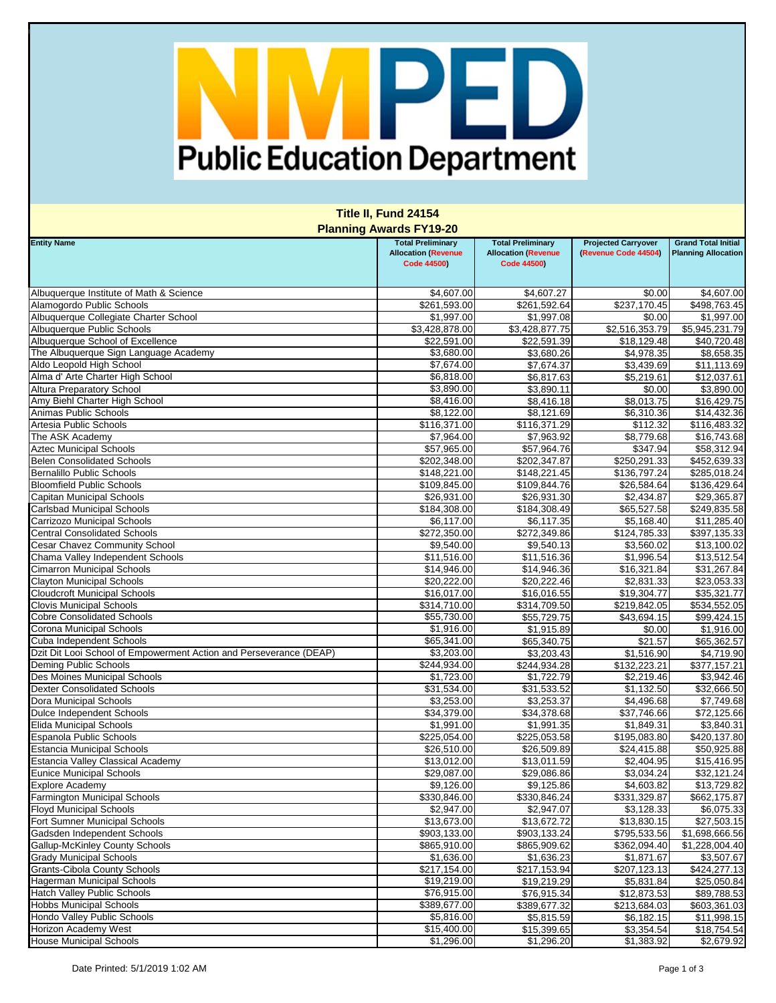## Public Education Department

| <b>Title II, Fund 24154</b>                                               |                                                                              |                                                                              |                                                    |                                                          |  |  |  |
|---------------------------------------------------------------------------|------------------------------------------------------------------------------|------------------------------------------------------------------------------|----------------------------------------------------|----------------------------------------------------------|--|--|--|
| <b>Planning Awards FY19-20</b>                                            |                                                                              |                                                                              |                                                    |                                                          |  |  |  |
| <b>Entity Name</b>                                                        | <b>Total Preliminary</b><br><b>Allocation (Revenue</b><br><b>Code 44500)</b> | <b>Total Preliminary</b><br><b>Allocation (Revenue</b><br><b>Code 44500)</b> | <b>Projected Carryover</b><br>(Revenue Code 44504) | <b>Grand Total Initial</b><br><b>Planning Allocation</b> |  |  |  |
|                                                                           |                                                                              |                                                                              |                                                    |                                                          |  |  |  |
| Albuquerque Institute of Math & Science                                   | \$4,607.00                                                                   | \$4,607.27                                                                   | \$0.00                                             | \$4,607.00                                               |  |  |  |
| Alamogordo Public Schools                                                 | \$261,593.00                                                                 | \$261,592.64                                                                 | \$237,170.45                                       | \$498,763.45                                             |  |  |  |
| Albuquerque Collegiate Charter School                                     | \$1,997.00                                                                   | \$1,997.08                                                                   | \$0.00                                             | \$1,997.00                                               |  |  |  |
| Albuquerque Public Schools                                                | \$3,428,878.00<br>\$22,591.00                                                | \$3,428,877.75<br>\$22,591.39                                                | \$2,516,353.79                                     | \$5,945,231.79                                           |  |  |  |
| Albuquerque School of Excellence<br>The Albuquerque Sign Language Academy | \$3,680.00                                                                   | \$3,680.26                                                                   | \$18,129.48<br>\$4,978.35                          | \$40,720.48<br>\$8,658.35                                |  |  |  |
| Aldo Leopold High School                                                  | \$7,674.00                                                                   | \$7,674.37                                                                   | \$3,439.69                                         | \$11,113.69                                              |  |  |  |
| Alma d' Arte Charter High School                                          | \$6,818.00                                                                   | \$6,817.63                                                                   | $\overline{5,219.61}$                              | \$12,037.61                                              |  |  |  |
| <b>Altura Preparatory School</b>                                          | \$3,890.00                                                                   | \$3,890.11                                                                   | \$0.00                                             | \$3,890.00                                               |  |  |  |
| Amy Biehl Charter High School                                             | \$8,416.00                                                                   | \$8,416.18                                                                   | \$8,013.75                                         | \$16,429.75                                              |  |  |  |
| Animas Public Schools                                                     | \$8,122.00                                                                   | \$8,121.69                                                                   | \$6,310.36                                         | \$14,432.36                                              |  |  |  |
| Artesia Public Schools                                                    | \$116,371.00                                                                 | \$116,371.29                                                                 | \$112.32                                           | \$116,483.32                                             |  |  |  |
| The ASK Academy                                                           | \$7,964.00                                                                   | \$7,963.92                                                                   | \$8,779.68                                         | \$16,743.68                                              |  |  |  |
| <b>Aztec Municipal Schools</b>                                            | \$57,965.00                                                                  | \$57,964.76                                                                  | \$347.94                                           | \$58,312.94                                              |  |  |  |
| <b>Belen Consolidated Schools</b>                                         | \$202,348.00                                                                 | \$202,347.87                                                                 | \$250,291.33                                       | \$452,639.33                                             |  |  |  |
| <b>Bernalillo Public Schools</b>                                          | \$148,221.00                                                                 | \$148,221.45                                                                 | \$136,797.24                                       | \$285,018.24                                             |  |  |  |
| <b>Bloomfield Public Schools</b>                                          | \$109,845.00                                                                 | \$109,844.76                                                                 | \$26,584.64                                        | \$136,429.64                                             |  |  |  |
| Capitan Municipal Schools                                                 | \$26,931.00                                                                  | \$26,931.30                                                                  | \$2,434.87                                         | \$29,365.87                                              |  |  |  |
| <b>Carlsbad Municipal Schools</b>                                         | \$184,308.00                                                                 | \$184,308.49                                                                 | \$65,527.58                                        | \$249,835.58                                             |  |  |  |
| Carrizozo Municipal Schools                                               | \$6,117.00                                                                   | \$6,117.35                                                                   | \$5,168.40                                         | \$11,285.40                                              |  |  |  |
| <b>Central Consolidated Schools</b>                                       | \$272,350.00                                                                 | \$272,349.86                                                                 | \$124,785.33                                       | \$397,135.33                                             |  |  |  |
| <b>Cesar Chavez Community School</b>                                      | \$9,540.00                                                                   | \$9,540.13                                                                   | \$3,560.02                                         | \$13,100.02                                              |  |  |  |
| Chama Valley Independent Schools                                          | \$11,516.00                                                                  | \$11,516.36                                                                  | \$1,996.54                                         | \$13,512.54                                              |  |  |  |
| <b>Cimarron Municipal Schools</b>                                         | \$14,946.00                                                                  | \$14,946.36                                                                  | \$16,321.84                                        | \$31,267.84                                              |  |  |  |
| <b>Clayton Municipal Schools</b>                                          | \$20,222.00                                                                  | \$20,222.46                                                                  | \$2,831.33                                         | \$23,053.33                                              |  |  |  |
| <b>Cloudcroft Municipal Schools</b>                                       | \$16,017.00                                                                  | \$16,016.55                                                                  | \$19,304.77                                        | \$35,321.77                                              |  |  |  |
| <b>Clovis Municipal Schools</b><br><b>Cobre Consolidated Schools</b>      | \$314,710.00                                                                 | \$314,709.50                                                                 | \$219,842.05                                       | \$534,552.05                                             |  |  |  |
| <b>Corona Municipal Schools</b>                                           | \$55,730.00<br>\$1,916.00                                                    | \$55,729.75<br>\$1,915.89                                                    | \$43,694.15<br>\$0.00                              | \$99,424.15<br>\$1,916.00                                |  |  |  |
| Cuba Independent Schools                                                  | \$65,341.00                                                                  | \$65,340.75                                                                  | \$21.57                                            | \$65,362.57                                              |  |  |  |
| Dzit Dit Looi School of Empowerment Action and Perseverance (DEAP)        | \$3,203.00                                                                   | \$3,203.43                                                                   | \$1,516.90                                         | \$4,719.90                                               |  |  |  |
| Deming Public Schools                                                     | \$244,934.00                                                                 | \$244,934.28                                                                 | \$132,223.21                                       | \$377,157.21                                             |  |  |  |
| Des Moines Municipal Schools                                              | \$1,723.00                                                                   | \$1,722.79                                                                   | \$2,219.46                                         | \$3,942.46                                               |  |  |  |
| <b>Dexter Consolidated Schools</b>                                        | \$31,534.00                                                                  | \$31,533.52                                                                  | \$1,132.50                                         | \$32,666.50                                              |  |  |  |
| Dora Municipal Schools                                                    | \$3,253.00                                                                   | \$3,253.37                                                                   | \$4,496.68                                         | \$7,749.68                                               |  |  |  |
| Dulce Independent Schools                                                 | \$34,379.00                                                                  | \$34,378.68                                                                  | \$37,746.66                                        | \$72,125.66                                              |  |  |  |
| <b>Elida Municipal Schools</b>                                            | \$1,991.00                                                                   | \$1,991.35                                                                   | \$1,849.31                                         | \$3,840.31                                               |  |  |  |
| Espanola Public Schools                                                   | \$225,054.00                                                                 | \$225,053.58                                                                 | \$195,083.80                                       | \$420,137.80                                             |  |  |  |
| <b>Estancia Municipal Schools</b>                                         | \$26,510.00                                                                  | \$26,509.89                                                                  | \$24,415.88                                        | \$50,925.88                                              |  |  |  |
| <b>Estancia Valley Classical Academy</b>                                  | \$13,012.00                                                                  | \$13,011.59                                                                  | \$2,404.95                                         | \$15,416.95                                              |  |  |  |
| <b>Eunice Municipal Schools</b>                                           | \$29,087.00                                                                  | \$29,086.86                                                                  | \$3,034.24                                         | \$32,121.24                                              |  |  |  |
| <b>Explore Academy</b>                                                    | \$9,126.00                                                                   | \$9,125.86                                                                   | \$4,603.82                                         | \$13,729.82                                              |  |  |  |
| <b>Farmington Municipal Schools</b>                                       | \$330,846.00                                                                 | \$330,846.24                                                                 | \$331,329.87                                       | \$662,175.87                                             |  |  |  |
| <b>Floyd Municipal Schools</b>                                            | \$2,947.00                                                                   | \$2,947.07                                                                   | \$3,128.33                                         | \$6,075.33                                               |  |  |  |
| Fort Sumner Municipal Schools                                             | \$13,673.00                                                                  | \$13,672.72                                                                  | \$13,830.15                                        | \$27,503.15                                              |  |  |  |
| Gadsden Independent Schools                                               | \$903,133.00                                                                 | \$903,133.24                                                                 | \$795,533.56                                       | \$1,698,666.56                                           |  |  |  |
| <b>Gallup-McKinley County Schools</b>                                     | \$865,910.00                                                                 | \$865,909.62                                                                 | \$362,094.40                                       | \$1,228,004.40                                           |  |  |  |
| <b>Grady Municipal Schools</b><br><b>Grants-Cibola County Schools</b>     | \$1,636.00<br>\$217,154.00                                                   | \$1,636.23                                                                   | \$1,871.67<br>\$207,123.13                         | \$3,507.67                                               |  |  |  |
| Hagerman Municipal Schools                                                | \$19,219.00                                                                  | \$217,153.94<br>\$19,219.29                                                  | \$5,831.84                                         | \$424,277.13<br>\$25,050.84                              |  |  |  |
| <b>Hatch Valley Public Schools</b>                                        | \$76,915.00                                                                  | \$76,915.34                                                                  | \$12,873.53                                        | \$89,788.53                                              |  |  |  |
| <b>Hobbs Municipal Schools</b>                                            | \$389,677.00                                                                 | \$389,677.32                                                                 | \$213,684.03                                       | \$603,361.03                                             |  |  |  |
| Hondo Valley Public Schools                                               | \$5,816.00                                                                   | \$5,815.59                                                                   | \$6,182.15                                         | \$11,998.15                                              |  |  |  |
| <b>Horizon Academy West</b>                                               | \$15,400.00                                                                  | \$15,399.65                                                                  | \$3,354.54                                         | \$18,754.54                                              |  |  |  |
| <b>House Municipal Schools</b>                                            | \$1,296.00                                                                   | \$1,296.20                                                                   | \$1,383.92                                         | \$2,679.92                                               |  |  |  |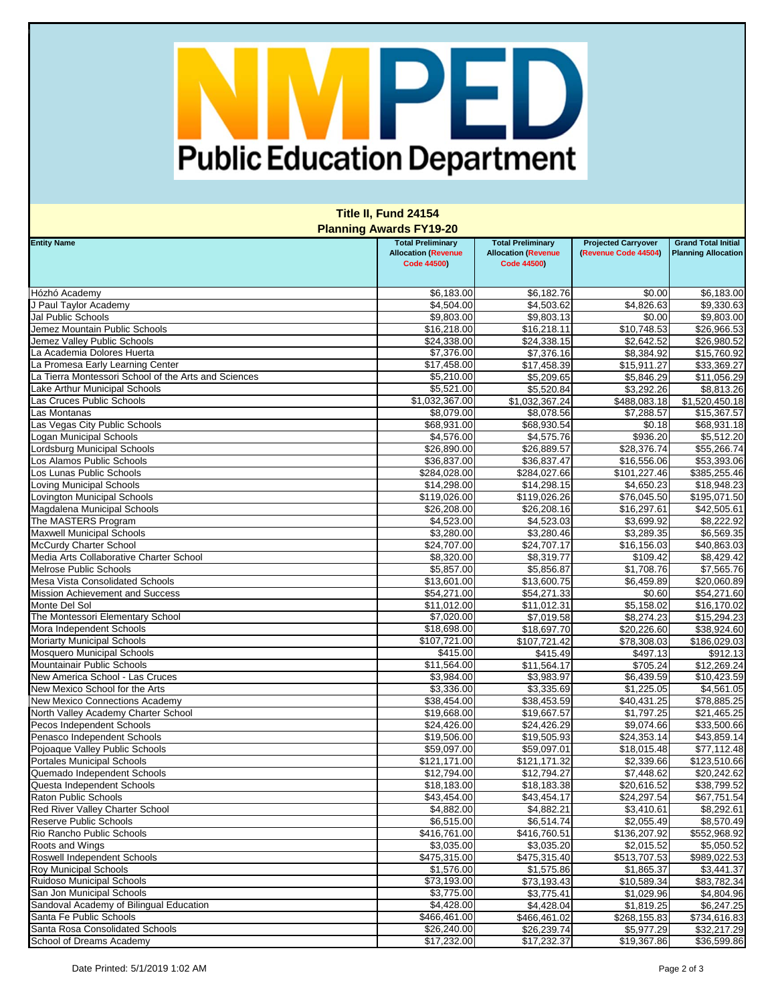## Public Education Department

| Title II, Fund 24154<br><b>Planning Awards FY19-20</b>  |                            |                            |                            |                            |  |  |  |
|---------------------------------------------------------|----------------------------|----------------------------|----------------------------|----------------------------|--|--|--|
|                                                         |                            |                            |                            |                            |  |  |  |
| Hózhó Academy                                           | \$6,183.00                 | \$6,182.76                 | \$0.00                     | \$6,183.00                 |  |  |  |
| J Paul Taylor Academy                                   | \$4,504.00                 | \$4,503.62                 | \$4,826.63                 | \$9,330.63                 |  |  |  |
| Jal Public Schools                                      | \$9,803.00                 | \$9,803.13                 | \$0.00                     | \$9,803.00                 |  |  |  |
| Jemez Mountain Public Schools                           | \$16,218.00                | \$16,218.11                | \$10,748.53                | \$26,966.53                |  |  |  |
| Jemez Valley Public Schools                             | \$24,338.00                | \$24,338.15                | \$2,642.52                 | \$26,980.52                |  |  |  |
| La Academia Dolores Huerta                              | \$7,376.00                 | \$7,376.16                 | \$8,384.92                 | \$15,760.92                |  |  |  |
| La Promesa Early Learning Center                        | \$17,458.00                | \$17,458.39                | \$15,911.27                | \$33,369.27                |  |  |  |
| La Tierra Montessori School of the Arts and Sciences    | \$5,210.00                 | \$5,209.65                 | \$5,846.29                 | \$11,056.29                |  |  |  |
| Lake Arthur Municipal Schools                           | \$5,521.00                 | \$5,520.84                 | \$3,292.26                 | \$8,813.26                 |  |  |  |
| Las Cruces Public Schools                               | \$1,032,367.00             | \$1,032,367.24             | \$488,083.18               | \$1,520,450.18             |  |  |  |
| Las Montanas                                            | \$8,079.00                 | \$8,078.56                 | \$7,288.57                 | \$15,367.57                |  |  |  |
| Las Vegas City Public Schools                           | \$68,931.00                | \$68,930.54                | \$0.18                     | \$68,931.18                |  |  |  |
| Logan Municipal Schools                                 | \$4,576.00                 | \$4,575.76                 | \$936.20                   | \$5,512.20                 |  |  |  |
| Lordsburg Municipal Schools                             | \$26,890.00                | \$26,889.57                | \$28,376.74                | \$55,266.74                |  |  |  |
| Los Alamos Public Schools                               | \$36,837.00                | \$36,837.47                | \$16,556.06                | \$53,393.06                |  |  |  |
| Los Lunas Public Schools                                | \$284,028.00               | \$284,027.66               | \$101,227.46               | \$385,255.46               |  |  |  |
| <b>Loving Municipal Schools</b>                         | \$14,298.00                | \$14,298.15                | \$4,650.23                 | \$18,948.23                |  |  |  |
| Lovington Municipal Schools                             | \$119,026.00               | \$119,026.26               | \$76,045.50                | \$195,071.50               |  |  |  |
| Magdalena Municipal Schools                             | \$26,208.00                | \$26,208.16                | \$16,297.61                | \$42,505.61                |  |  |  |
| The MASTERS Program                                     | \$4,523.00                 | \$4,523.03                 | \$3,699.92                 | \$8,222.92                 |  |  |  |
| <b>Maxwell Municipal Schools</b>                        | \$3,280.00                 | \$3,280.46                 | \$3,289.35                 | \$6,569.35                 |  |  |  |
| <b>McCurdy Charter School</b>                           | \$24,707.00                | \$24,707.17                | \$16,156.03                | \$40,863.03                |  |  |  |
| Media Arts Collaborative Charter School                 | \$8,320.00                 | \$8,319.77                 | \$109.42                   | \$8,429.42                 |  |  |  |
| <b>Melrose Public Schools</b>                           | \$5,857.00                 | \$5,856.87                 | \$1,708.76                 | \$7,565.76                 |  |  |  |
| <b>Mesa Vista Consolidated Schools</b>                  | \$13,601.00                | \$13,600.75                | \$6,459.89                 | \$20,060.89                |  |  |  |
| <b>Mission Achievement and Success</b><br>Monte Del Sol | \$54,271.00                | \$54,271.33                | \$0.60                     | \$54,271.60                |  |  |  |
| The Montessori Elementary School                        | \$11,012.00<br>\$7,020.00  | \$11,012.31                | \$5,158.02                 | \$16,170.02                |  |  |  |
| Mora Independent Schools                                | \$18,698.00                | \$7,019.58<br>\$18,697.70  | \$8,274.23<br>\$20,226.60  | \$15,294.23<br>\$38,924.60 |  |  |  |
| <b>Moriarty Municipal Schools</b>                       | \$107,721.00               | \$107,721.42               | \$78,308.03                | \$186,029.03               |  |  |  |
| <b>Mosquero Municipal Schools</b>                       | \$415.00                   | \$415.49                   | 3497.13                    | \$912.13                   |  |  |  |
| Mountainair Public Schools                              | \$11,564.00                | \$11,564.17                | $\overline{$}705.24$       | \$12,269.24                |  |  |  |
| New America School - Las Cruces                         | \$3,984.00                 | \$3,983.97                 | \$6,439.59                 | \$10,423.59                |  |  |  |
| New Mexico School for the Arts                          | \$3,336.00                 | \$3,335.69                 | \$1,225.05                 | \$4,561.05                 |  |  |  |
| <b>New Mexico Connections Academy</b>                   | \$38,454.00                | \$38,453.59                | \$40,431.25                | \$78,885.25                |  |  |  |
| North Valley Academy Charter School                     | \$19,668.00                | \$19,667.57                | \$1,797.25                 | \$21,465.25                |  |  |  |
| Pecos Independent Schools                               | \$24,426.00                | \$24,426.29                | \$9,074.66                 | \$33,500.66                |  |  |  |
| Penasco Independent Schools                             | \$19,506.00                | \$19,505.93                | \$24,353.14                | \$43,859.14                |  |  |  |
| Pojoaque Valley Public Schools                          | \$59,097.00                | \$59,097.01                | \$18,015.48                | \$77,112.48                |  |  |  |
| <b>Portales Municipal Schools</b>                       | \$121,171.00               | \$121,171.32               | \$2,339.66                 | \$123,510.66               |  |  |  |
| Quemado Independent Schools                             | \$12,794.00                | \$12,794.27                | \$7,448.62                 | \$20,242.62                |  |  |  |
| Questa Independent Schools                              | \$18,183.00                | \$18,183.38                | \$20,616.52                | \$38,799.52                |  |  |  |
| <b>Raton Public Schools</b>                             | \$43,454.00                | \$43,454.17                | \$24,297.54                | \$67,751.54                |  |  |  |
| Red River Valley Charter School                         | \$4,882.00                 | \$4,882.21                 | \$3,410.61                 | \$8,292.61                 |  |  |  |
| <b>Reserve Public Schools</b>                           | \$6,515.00                 | \$6,514.74                 | \$2,055.49                 | \$8,570.49                 |  |  |  |
| Rio Rancho Public Schools                               | \$416,761.00               | \$416,760.51               | \$136,207.92               | \$552,968.92               |  |  |  |
| Roots and Wings                                         | \$3,035.00                 | \$3,035.20                 | \$2,015.52                 | \$5,050.52                 |  |  |  |
| Roswell Independent Schools                             | \$475,315.00               | \$475,315.40               | \$513,707.53               | \$989,022.53               |  |  |  |
| <b>Roy Municipal Schools</b>                            | \$1,576.00                 | \$1,575.86                 | \$1,865.37                 | \$3,441.37                 |  |  |  |
| Ruidoso Municipal Schools<br>San Jon Municipal Schools  | \$73,193.00                | \$73,193.43                | \$10,589.34                | \$83,782.34                |  |  |  |
| Sandoval Academy of Bilingual Education                 | \$3,775.00                 | \$3,775.41                 | \$1,029.96                 | \$4,804.96                 |  |  |  |
| Santa Fe Public Schools                                 | \$4,428.00<br>\$466,461.00 | \$4,428.04<br>\$466,461.02 | \$1,819.25<br>\$268,155.83 | \$6,247.25<br>\$734,616.83 |  |  |  |
| Santa Rosa Consolidated Schools                         | \$26,240.00                | \$26,239.74                | \$5,977.29                 | \$32,217.29                |  |  |  |
| School of Dreams Academy                                | \$17,232.00                | \$17,232.37                | \$19,367.86                | \$36,599.86                |  |  |  |
|                                                         |                            |                            |                            |                            |  |  |  |